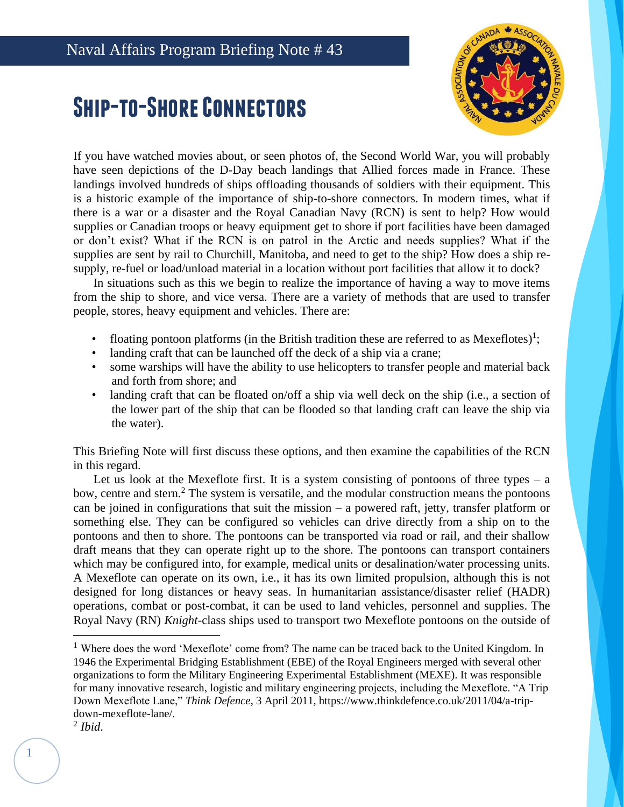## **Ship-to-Shore Connectors**



If you have watched movies about, or seen photos of, the Second World War, you will probably have seen depictions of the D-Day beach landings that Allied forces made in France. These landings involved hundreds of ships offloading thousands of soldiers with their equipment. This is a historic example of the importance of ship-to-shore connectors. In modern times, what if there is a war or a disaster and the Royal Canadian Navy (RCN) is sent to help? How would supplies or Canadian troops or heavy equipment get to shore if port facilities have been damaged or don't exist? What if the RCN is on patrol in the Arctic and needs supplies? What if the supplies are sent by rail to Churchill, Manitoba, and need to get to the ship? How does a ship resupply, re-fuel or load/unload material in a location without port facilities that allow it to dock?

In situations such as this we begin to realize the importance of having a way to move items from the ship to shore, and vice versa. There are a variety of methods that are used to transfer people, stores, heavy equipment and vehicles. There are:

- floating pontoon platforms (in the British tradition these are referred to as Mexeflotes)<sup>1</sup>;
- landing craft that can be launched off the deck of a ship via a crane;
- some warships will have the ability to use helicopters to transfer people and material back and forth from shore; and
- landing craft that can be floated on/off a ship via well deck on the ship (i.e., a section of the lower part of the ship that can be flooded so that landing craft can leave the ship via the water).

This Briefing Note will first discuss these options, and then examine the capabilities of the RCN in this regard.

Let us look at the Mexeflote first. It is a system consisting of pontoons of three types  $-$  a bow, centre and stern.<sup>2</sup> The system is versatile, and the modular construction means the pontoons can be joined in configurations that suit the mission – a powered raft, jetty, transfer platform or something else. They can be configured so vehicles can drive directly from a ship on to the pontoons and then to shore. The pontoons can be transported via road or rail, and their shallow draft means that they can operate right up to the shore. The pontoons can transport containers which may be configured into, for example, medical units or desalination/water processing units. A Mexeflote can operate on its own, i.e., it has its own limited propulsion, although this is not designed for long distances or heavy seas. In humanitarian assistance/disaster relief (HADR) operations, combat or post-combat, it can be used to land vehicles, personnel and supplies. The Royal Navy (RN) *Knight*-class ships used to transport two Mexeflote pontoons on the outside of

<sup>&</sup>lt;sup>1</sup> Where does the word 'Mexeflote' come from? The name can be traced back to the United Kingdom. In 1946 the Experimental Bridging Establishment (EBE) of the Royal Engineers merged with several other organizations to form the Military Engineering Experimental Establishment (MEXE). It was responsible for many innovative research, logistic and military engineering projects, including the Mexeflote. "A Trip Down Mexeflote Lane," *Think Defence*, 3 April 2011, https://www.thinkdefence.co.uk/2011/04/a-tripdown-mexeflote-lane/.

<sup>2</sup> *Ibid*.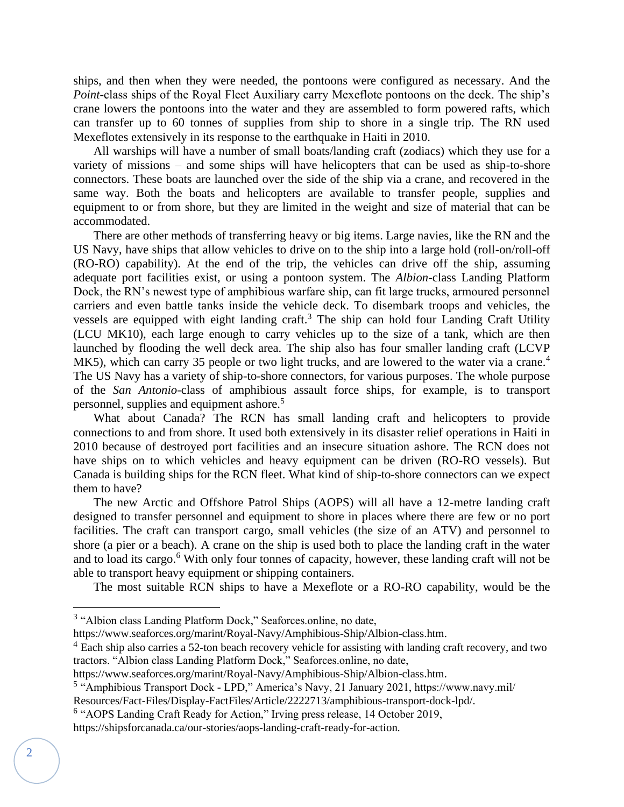ships, and then when they were needed, the pontoons were configured as necessary. And the *Point*-class ships of the Royal Fleet Auxiliary carry Mexeflote pontoons on the deck. The ship's crane lowers the pontoons into the water and they are assembled to form powered rafts, which can transfer up to 60 tonnes of supplies from ship to shore in a single trip. The RN used Mexeflotes extensively in its response to the earthquake in Haiti in 2010.

All warships will have a number of small boats/landing craft (zodiacs) which they use for a variety of missions – and some ships will have helicopters that can be used as ship-to-shore connectors. These boats are launched over the side of the ship via a crane, and recovered in the same way. Both the boats and helicopters are available to transfer people, supplies and equipment to or from shore, but they are limited in the weight and size of material that can be accommodated.

There are other methods of transferring heavy or big items. Large navies, like the RN and the US Navy, have ships that allow vehicles to drive on to the ship into a large hold (roll-on/roll-off (RO-RO) capability). At the end of the trip, the vehicles can drive off the ship, assuming adequate port facilities exist, or using a pontoon system. The *Albion*-class Landing Platform Dock, the RN's newest type of amphibious warfare ship, can fit large trucks, armoured personnel carriers and even battle tanks inside the vehicle deck. To disembark troops and vehicles, the vessels are equipped with eight landing craft.<sup>3</sup> The ship can hold four Landing Craft Utility (LCU MK10), each large enough to carry vehicles up to the size of a tank, which are then launched by flooding the well deck area. The ship also has four smaller landing craft (LCVP MK5), which can carry 35 people or two light trucks, and are lowered to the water via a crane.<sup>4</sup> The US Navy has a variety of ship-to-shore connectors, for various purposes. The whole purpose of the *San Antonio*-class of amphibious assault force ships, for example, is to transport personnel, supplies and equipment ashore.<sup>5</sup>

What about Canada? The RCN has small landing craft and helicopters to provide connections to and from shore. It used both extensively in its disaster relief operations in Haiti in 2010 because of destroyed port facilities and an insecure situation ashore. The RCN does not have ships on to which vehicles and heavy equipment can be driven (RO-RO vessels). But Canada is building ships for the RCN fleet. What kind of ship-to-shore connectors can we expect them to have?

The new Arctic and Offshore Patrol Ships (AOPS) will all have a 12-metre landing craft designed to transfer personnel and equipment to shore in places where there are few or no port facilities. The craft can transport cargo, small vehicles (the size of an ATV) and personnel to shore (a pier or a beach). A crane on the ship is used both to place the landing craft in the water and to load its cargo.<sup>6</sup> With only four tonnes of capacity, however, these landing craft will not be able to transport heavy equipment or shipping containers.

The most suitable RCN ships to have a Mexeflote or a RO-RO capability, would be the

https://www.seaforces.org/marint/Royal-Navy/Amphibious-Ship/Albion-class.htm.

<sup>&</sup>lt;sup>3</sup> "Albion class Landing Platform Dock," Seaforces.online, no date,

 $4$  Each ship also carries a 52-ton beach recovery vehicle for assisting with landing craft recovery, and two tractors. "Albion class Landing Platform Dock," Seaforces.online, no date,

https://www.seaforces.org/marint/Royal-Navy/Amphibious-Ship/Albion-class.htm.

<sup>&</sup>lt;sup>5</sup> "Amphibious Transport Dock - LPD," America's Navy, 21 January 2021, https://www.navy.mil/

Resources/Fact-Files/Display-FactFiles/Article/2222713/amphibious-transport-dock-lpd/.

<sup>&</sup>lt;sup>6</sup> "AOPS Landing Craft Ready for Action," Irving press release, 14 October 2019,

https://shipsforcanada.ca/our-stories/aops-landing-craft-ready-for-action.